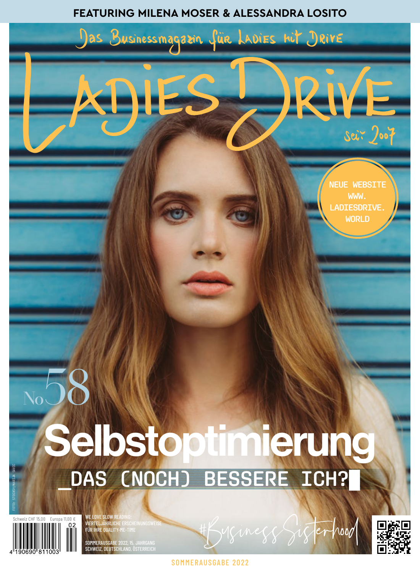## **FEATURING MILENA MOSER & ALESSANDRA LOSITO**





<mark>| Vierteljährli</mark>ch<br>| Für ih<u>re Qualit</u> SOMMERAUSGABE SCHWEIZ, DEUTSCHLAN



**SOMMERAUSGABE 2022** 

Minegg Sigterhood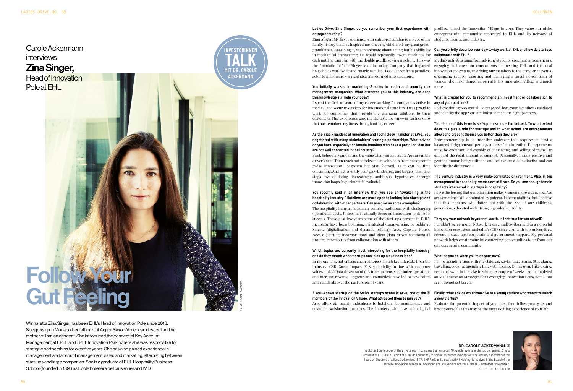# **entrepreneurship?**

*Zina Singer:* My first experience with entrepreneurship is a piece of my students, faculty, and industry. family history that has inspired me since my childhood: my great greatin mechanical engineering. He would repeatedly invent machines for cash until he came up with the double needle sewing machine. This was the foundation of the Singer Manufacturing Company that impacted actor to millionaire - a great idea transformed into an empire.

First, believe in yourself and the value what you can create. You are in the driver's seat. Then reach out to relevant stakeholders from our dynamic Swiss Innovation Ecosystem but stay focused, as it can be time consuming. And last, identify your growth strategy and targets, then take innovation loops (experiment  $\mathcal C$  evaluate).

### **You initially worked in marketing & sales in health and security risk**  more. **management companies. What attracted you to this industry, and does this knowledge still help you today?**

I spent the first 10 years of my career working for companies active in medical and security services for international travelers. I was proud to customers. This experience gave me the taste for win-win partnerships that has remained my focus throughout my career.

### **As the Vice President of Innovation and Technology Transfer at EPFL, you negotiated with many stakeholders' strategic partnerships. What advice do you have, especially for female founders who have a profound idea but are not well connected in the industry?**

Ladies Drive: Zina Singer, do you remember your first experience with profiles, joined the Innovation Village in 2019. They value our niche entrepreneurial community connected to EHL and its network of

### grandfather, Isaac Singer, was passionate about acting but his skills lay **Can you briefly describe your day-to-day work at EHL and how do startups collaborate with EHL?**

households worldwide and "magic wanded" Isaac Singer from penniless innovation ecosystem, valorizing our members to the press or at events, My daily activities range from advising students, coaching entrepreneurs, engaging in innovation consortiums, connecting EHL and the local organizing events, reporting and managing a small power team of women who make things happen at EHL's Innovation Village and much

work for companies that provide life changing solutions to their and identify the appropriate timing to meet the right partners. I believe timing is essential. Be prepared, have your hypothesis validated

You recently said in an interview that you see an "awakening in the Ihave the feeling that our education makes women more risk averse. We **hospitality industry." Hoteliers are more open to looking into startups and**  are sometimes still dominated by paternalistic mentalities, but I believe **collaborating with other partners. Can you give us some examples?** The hospitality industry is human-centric, traditional with challenging operational costs, it does not naturally focus on innovation to drive its success. These past few years some of the start-ups present in EHL's incubator have been booming: Privatedeal (room-pricing by bidding), Smeetz (digitalization and dynamic pricing), Arve, Capsule Hotels, NewCo (start-up incorporations) and Blent (data-driven solutions) all profited enormously from collaboration with others. that this tendency will flatten out with the rise of our children's generation, educated with stronger gender neutrality. **They say your network is your net worth. Is that true for you as well?** I couldn't agree more. Network is essential! Switzerland is a powerful innovation ecosystem ranked  $n^{\circ}$  (GII) since 2011 with top universities. research, start-ups, corporate and government support. My personal network helps create value by connecting opportunities to or from our entrepreneurial community.

**members of the Innovation Village. What attracted them to join you?**

### steps by validating increasingly ambitious hypotheses through **The venture industry is a very male-dominated environment. Also, in top management in hospitality, women are still rare. Do you see enough female students interested in startups in hospitality?**

### **What is crucial for you to recommend an investment or collaboration to any of your partners?**

**Which topics are currently most interesting for the hospitality industry, and do they match what startups now pick up a business idea?**  In my opinion, hot entrepreneurial topics match key interests from the industry: CSR, Social Impact & Sustainability in line with customer values and AI/Data driven solutions to reduce costs, optimize operations read and swim in the lake in winter. A couple of weeks ago I completed and increase revenue. Hygiene and contactless have led to new habits an MIT course on Strategies for Leveraging Innovation Ecosystems. You and standards over the past couple of years. **What do you do when you're on your own?** I enjoy spending time with my children: go-karting, tennis, SUP, skiing, travelling, cooking, spending time with friends. On my own, I like to sing, see, I do not get bored.

### **The theme of this issue is self-optimization – the better I. To what extent does this play a role for startups and to what extent are entrepreneurs allowed to present themselves better than they are?**

### **A well-known startup on the Swiss startups scene is Arve, one of the 31 Finally, what advice would you give to a young student who wants to launch a new startup?**

Entrepreneurship is an intensive endeavor that requires at least a balanced life hygiene and perhaps some self-optimization. Entrepreneurs must be endurant and capable of convincing, and selling "dreams", to onboard the right amount of support. Personally, I value positive and genuine human being attitudes and believe trust is instinctive and can identify the difference.

Arve offers air quality indications to hoteliers for maintenance and Evaluate the potential impact of your idea then follow your guts and customer satisfaction purposes. The founders, who have technological brace yourself as this may be the most exciting experience of your life!

Winnaretta Zina Singer has been EHL's Head of Innovation Pole since 2018. She grew up in Monaco, her father is of Anglo-Saxon/American descent and her mother of Iranian descent. She introduced the concept of Key Account Management at EPFL and EPFL Innovation Park, where she was responsible for strategic partnerships for over five years. She has also gained experience in management and account management, sales and marketing, alternating between start-ups and large companies. She is a graduate of EHL Hospitality Business School (founded in 1893 as Ecole hôtelière de Lausanne) and IMD.

### **DR. CAROLE ACKERMANN** (51)





is CEO and co-founder of the private equity company Diamondscull AG, which invests in startup companies. She is President of EHL Group (Ecole hôtelière de Lausanne), the global reference in hospitality education, a member of the Board of Directors of Allianz Switzerland, BKW, BNP Paribas Suisse, and BVZ Holding, is involved in the Board of the Bernese innovation agency be-advanced and is a Senior Lecturer at the HSG and other universities. FOTO: TOBIAS SUTTER